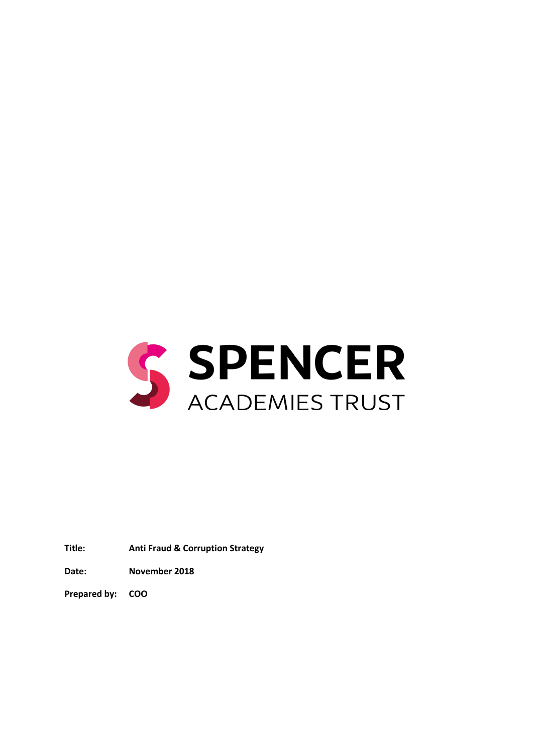

**Title: Anti Fraud & Corruption Strategy**

**Date: November 2018**

**Prepared by: COO**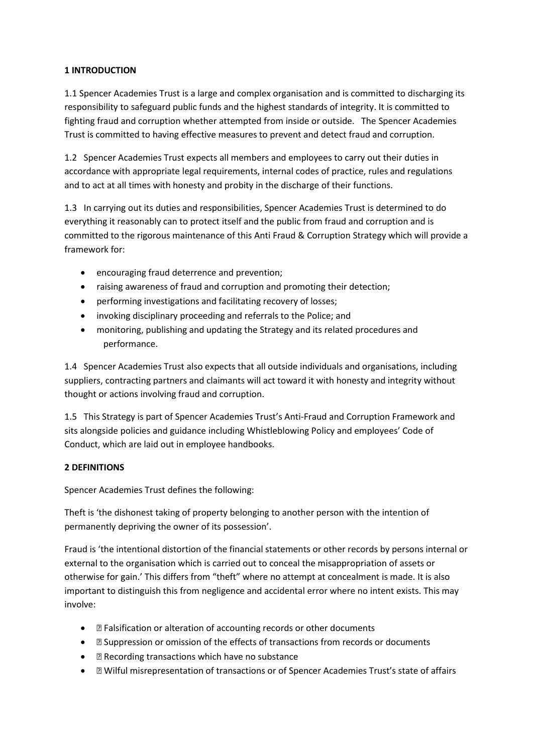## **1 INTRODUCTION**

1.1 Spencer Academies Trust is a large and complex organisation and is committed to discharging its responsibility to safeguard public funds and the highest standards of integrity. It is committed to fighting fraud and corruption whether attempted from inside or outside. The Spencer Academies Trust is committed to having effective measures to prevent and detect fraud and corruption.

1.2 Spencer Academies Trust expects all members and employees to carry out their duties in accordance with appropriate legal requirements, internal codes of practice, rules and regulations and to act at all times with honesty and probity in the discharge of their functions.

1.3 In carrying out its duties and responsibilities, Spencer Academies Trust is determined to do everything it reasonably can to protect itself and the public from fraud and corruption and is committed to the rigorous maintenance of this Anti Fraud & Corruption Strategy which will provide a framework for:

- encouraging fraud deterrence and prevention;
- raising awareness of fraud and corruption and promoting their detection;
- performing investigations and facilitating recovery of losses;
- invoking disciplinary proceeding and referrals to the Police; and
- monitoring, publishing and updating the Strategy and its related procedures and performance.

1.4 Spencer Academies Trust also expects that all outside individuals and organisations, including suppliers, contracting partners and claimants will act toward it with honesty and integrity without thought or actions involving fraud and corruption.

1.5 This Strategy is part of Spencer Academies Trust's Anti‐Fraud and Corruption Framework and sits alongside policies and guidance including Whistleblowing Policy and employees' Code of Conduct, which are laid out in employee handbooks.

## **2 DEFINITIONS**

Spencer Academies Trust defines the following:

Theft is 'the dishonest taking of property belonging to another person with the intention of permanently depriving the owner of its possession'.

Fraud is 'the intentional distortion of the financial statements or other records by persons internal or external to the organisation which is carried out to conceal the misappropriation of assets or otherwise for gain.' This differs from "theft" where no attempt at concealment is made. It is also important to distinguish this from negligence and accidental error where no intent exists. This may involve:

- f Falsification or alteration of accounting records or other documents
- f Suppression or omission of the effects of transactions from records or documents
- $\bullet$  f Recording transactions which have no substance
- ƒ Wilful misrepresentation of transactions or of Spencer Academies Trust's state of affairs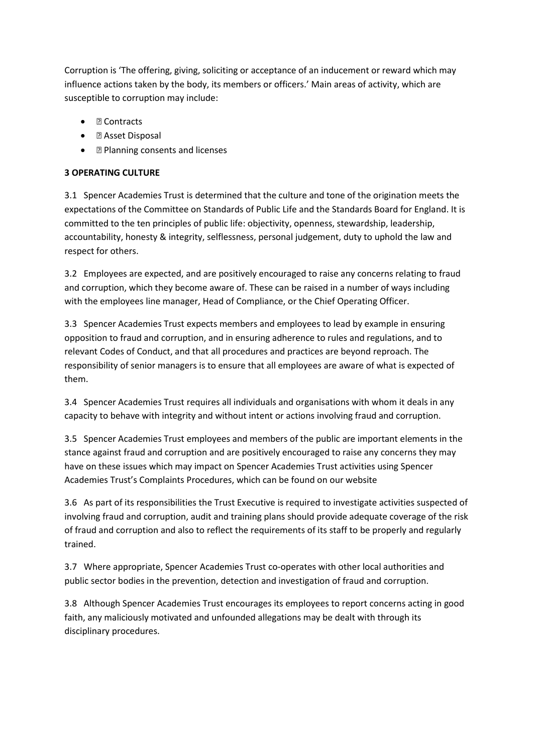Corruption is 'The offering, giving, soliciting or acceptance of an inducement or reward which may influence actions taken by the body, its members or officers.' Main areas of activity, which are susceptible to corruption may include:

- $\bullet$  f Contracts
- $\bullet$  f Asset Disposal
- f Planning consents and licenses

# **3 OPERATING CULTURE**

3.1 Spencer Academies Trust is determined that the culture and tone of the origination meets the expectations of the Committee on Standards of Public Life and the Standards Board for England. It is committed to the ten principles of public life: objectivity, openness, stewardship, leadership, accountability, honesty & integrity, selflessness, personal judgement, duty to uphold the law and respect for others.

3.2 Employees are expected, and are positively encouraged to raise any concerns relating to fraud and corruption, which they become aware of. These can be raised in a number of ways including with the employees line manager, Head of Compliance, or the Chief Operating Officer.

3.3 Spencer Academies Trust expects members and employees to lead by example in ensuring opposition to fraud and corruption, and in ensuring adherence to rules and regulations, and to relevant Codes of Conduct, and that all procedures and practices are beyond reproach. The responsibility of senior managers is to ensure that all employees are aware of what is expected of them.

3.4 Spencer Academies Trust requires all individuals and organisations with whom it deals in any capacity to behave with integrity and without intent or actions involving fraud and corruption.

3.5 Spencer Academies Trust employees and members of the public are important elements in the stance against fraud and corruption and are positively encouraged to raise any concerns they may have on these issues which may impact on Spencer Academies Trust activities using Spencer Academies Trust's Complaints Procedures, which can be found on our website

3.6 As part of its responsibilities the Trust Executive is required to investigate activities suspected of involving fraud and corruption, audit and training plans should provide adequate coverage of the risk of fraud and corruption and also to reflect the requirements of its staff to be properly and regularly trained.

3.7 Where appropriate, Spencer Academies Trust co-operates with other local authorities and public sector bodies in the prevention, detection and investigation of fraud and corruption.

3.8 Although Spencer Academies Trust encourages its employees to report concerns acting in good faith, any maliciously motivated and unfounded allegations may be dealt with through its disciplinary procedures.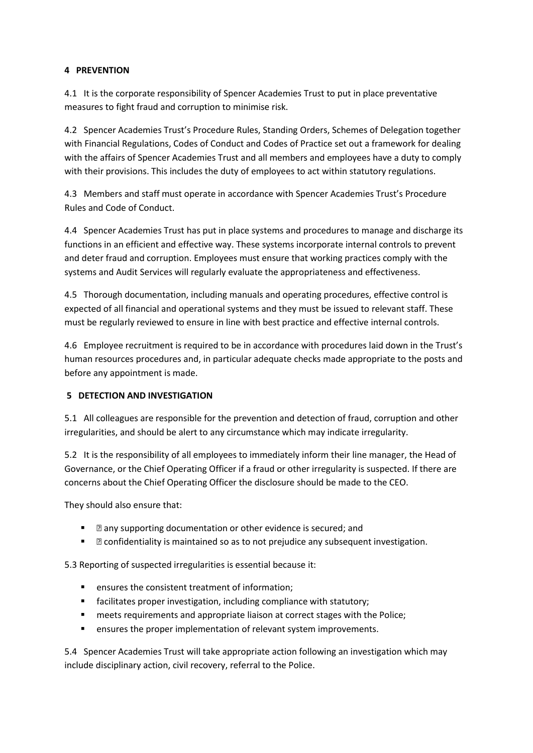### **4 PREVENTION**

4.1 It is the corporate responsibility of Spencer Academies Trust to put in place preventative measures to fight fraud and corruption to minimise risk.

4.2 Spencer Academies Trust's Procedure Rules, Standing Orders, Schemes of Delegation together with Financial Regulations, Codes of Conduct and Codes of Practice set out a framework for dealing with the affairs of Spencer Academies Trust and all members and employees have a duty to comply with their provisions. This includes the duty of employees to act within statutory regulations.

4.3 Members and staff must operate in accordance with Spencer Academies Trust's Procedure Rules and Code of Conduct.

4.4 Spencer Academies Trust has put in place systems and procedures to manage and discharge its functions in an efficient and effective way. These systems incorporate internal controls to prevent and deter fraud and corruption. Employees must ensure that working practices comply with the systems and Audit Services will regularly evaluate the appropriateness and effectiveness.

4.5 Thorough documentation, including manuals and operating procedures, effective control is expected of all financial and operational systems and they must be issued to relevant staff. These must be regularly reviewed to ensure in line with best practice and effective internal controls.

4.6 Employee recruitment is required to be in accordance with procedures laid down in the Trust's human resources procedures and, in particular adequate checks made appropriate to the posts and before any appointment is made.

## **5 DETECTION AND INVESTIGATION**

5.1 All colleagues are responsible for the prevention and detection of fraud, corruption and other irregularities, and should be alert to any circumstance which may indicate irregularity.

5.2 It is the responsibility of all employees to immediately inform their line manager, the Head of Governance, or the Chief Operating Officer if a fraud or other irregularity is suspected. If there are concerns about the Chief Operating Officer the disclosure should be made to the CEO.

They should also ensure that:

- $\blacksquare$  f any supporting documentation or other evidence is secured; and
- $\blacksquare$  f confidentiality is maintained so as to not prejudice any subsequent investigation.

5.3 Reporting of suspected irregularities is essential because it:

- **EXECTE:** ensures the consistent treatment of information;
- **facilitates proper investigation, including compliance with statutory;**
- **neets requirements and appropriate liaison at correct stages with the Police;**
- ensures the proper implementation of relevant system improvements.

5.4 Spencer Academies Trust will take appropriate action following an investigation which may include disciplinary action, civil recovery, referral to the Police.